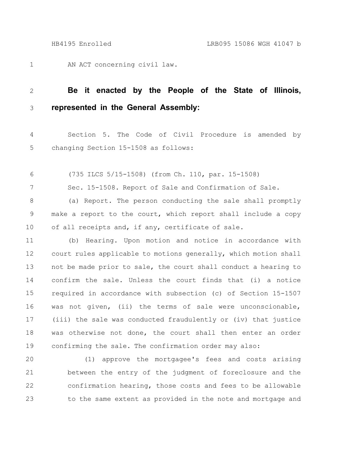7

AN ACT concerning civil law. 1

## **Be it enacted by the People of the State of Illinois, represented in the General Assembly:** 2 3

Section 5. The Code of Civil Procedure is amended by changing Section 15-1508 as follows: 4 5

(735 ILCS 5/15-1508) (from Ch. 110, par. 15-1508) 6

Sec. 15-1508. Report of Sale and Confirmation of Sale.

(a) Report. The person conducting the sale shall promptly make a report to the court, which report shall include a copy of all receipts and, if any, certificate of sale. 8 9 10

(b) Hearing. Upon motion and notice in accordance with court rules applicable to motions generally, which motion shall not be made prior to sale, the court shall conduct a hearing to confirm the sale. Unless the court finds that (i) a notice required in accordance with subsection (c) of Section 15-1507 was not given, (ii) the terms of sale were unconscionable, (iii) the sale was conducted fraudulently or (iv) that justice was otherwise not done, the court shall then enter an order confirming the sale. The confirmation order may also: 11 12 13 14 15 16 17 18 19

(1) approve the mortgagee's fees and costs arising between the entry of the judgment of foreclosure and the confirmation hearing, those costs and fees to be allowable to the same extent as provided in the note and mortgage and 20 21 22 23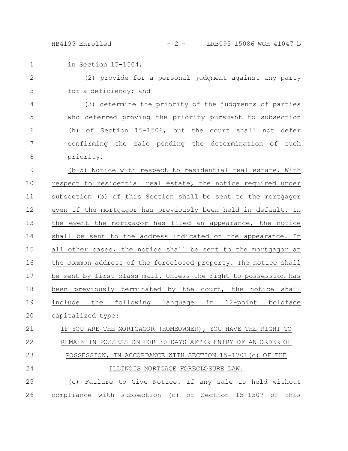in Section 15-1504; 1

(2) provide for a personal judgment against any party for a deficiency; and 2 3

(3) determine the priority of the judgments of parties who deferred proving the priority pursuant to subsection (h) of Section 15-1506, but the court shall not defer confirming the sale pending the determination of such priority. 4 5 6 7 8

(b-5) Notice with respect to residential real estate. With respect to residential real estate, the notice required under subsection (b) of this Section shall be sent to the mortgagor even if the mortgagor has previously been held in default. In the event the mortgagor has filed an appearance, the notice shall be sent to the address indicated on the appearance. In all other cases, the notice shall be sent to the mortgagor at the common address of the foreclosed property. The notice shall be sent by first class mail. Unless the right to possession has been previously terminated by the court, the notice shall include the following language in 12-point boldface capitalized type: 9 10 11 12 13 14 15 16 17 18 19 20

IF YOU ARE THE MORTGAGOR (HOMEOWNER), YOU HAVE THE RIGHT TO REMAIN IN POSSESSION FOR 30 DAYS AFTER ENTRY OF AN ORDER OF POSSESSION, IN ACCORDANCE WITH SECTION 15-1701(c) OF THE ILLINOIS MORTGAGE FORECLOSURE LAW. 21 22 23 24

(c) Failure to Give Notice. If any sale is held without compliance with subsection (c) of Section 15-1507 of this 25 26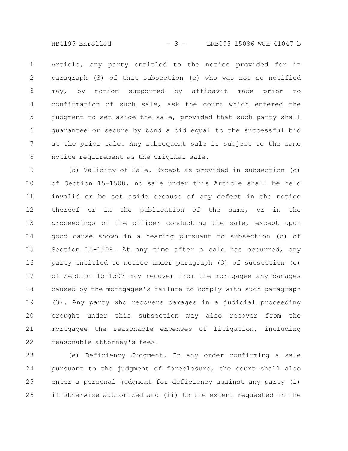HB4195 Enrolled  $- 3 - 15086$  WGH 41047 b

Article, any party entitled to the notice provided for in paragraph (3) of that subsection (c) who was not so notified may, by motion supported by affidavit made prior to confirmation of such sale, ask the court which entered the judgment to set aside the sale, provided that such party shall guarantee or secure by bond a bid equal to the successful bid at the prior sale. Any subsequent sale is subject to the same notice requirement as the original sale. 1 2 3 4 5 6 7 8

(d) Validity of Sale. Except as provided in subsection (c) of Section 15-1508, no sale under this Article shall be held invalid or be set aside because of any defect in the notice thereof or in the publication of the same, or in the proceedings of the officer conducting the sale, except upon good cause shown in a hearing pursuant to subsection (b) of Section 15-1508. At any time after a sale has occurred, any party entitled to notice under paragraph (3) of subsection (c) of Section 15-1507 may recover from the mortgagee any damages caused by the mortgagee's failure to comply with such paragraph (3). Any party who recovers damages in a judicial proceeding brought under this subsection may also recover from the mortgagee the reasonable expenses of litigation, including reasonable attorney's fees. 9 10 11 12 13 14 15 16 17 18 19 20 21 22

(e) Deficiency Judgment. In any order confirming a sale pursuant to the judgment of foreclosure, the court shall also enter a personal judgment for deficiency against any party (i) if otherwise authorized and (ii) to the extent requested in the 23 24 25 26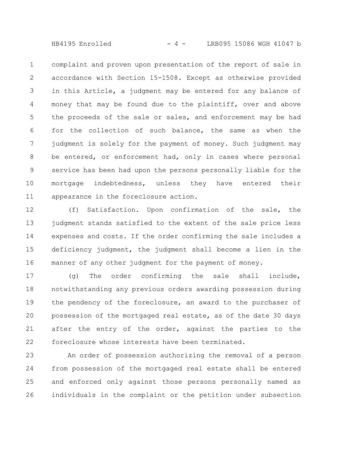HB4195 Enrolled  $- 4 -$  LRB095 15086 WGH 41047 b

complaint and proven upon presentation of the report of sale in accordance with Section 15-1508. Except as otherwise provided in this Article, a judgment may be entered for any balance of money that may be found due to the plaintiff, over and above the proceeds of the sale or sales, and enforcement may be had for the collection of such balance, the same as when the judgment is solely for the payment of money. Such judgment may be entered, or enforcement had, only in cases where personal service has been had upon the persons personally liable for the mortgage indebtedness, unless they have entered their appearance in the foreclosure action. 1 2 3 4 5 6 7 8 9 10 11

(f) Satisfaction. Upon confirmation of the sale, the judgment stands satisfied to the extent of the sale price less expenses and costs. If the order confirming the sale includes a deficiency judgment, the judgment shall become a lien in the manner of any other judgment for the payment of money. 12 13 14 15 16

(g) The order confirming the sale shall include, notwithstanding any previous orders awarding possession during the pendency of the foreclosure, an award to the purchaser of possession of the mortgaged real estate, as of the date 30 days after the entry of the order, against the parties to the foreclosure whose interests have been terminated. 17 18 19 20 21 22

An order of possession authorizing the removal of a person from possession of the mortgaged real estate shall be entered and enforced only against those persons personally named as individuals in the complaint or the petition under subsection 23 24 25 26